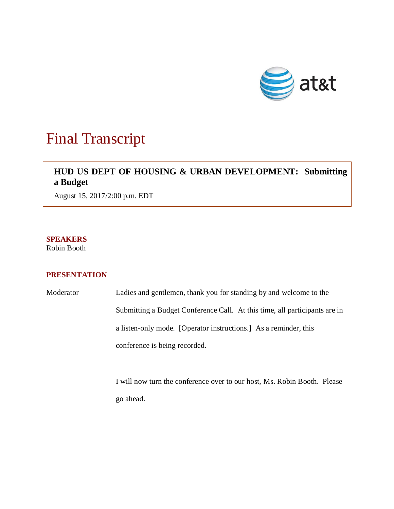

## Final Transcript

## **HUD US DEPT OF HOUSING & URBAN DEVELOPMENT: Submitting a Budget**

August 15, 2017/2:00 p.m. EDT

**SPEAKERS** Robin Booth

## **PRESENTATION**

Moderator Ladies and gentlemen, thank you for standing by and welcome to the Submitting a Budget Conference Call. At this time, all participants are in a listen-only mode. [Operator instructions.] As a reminder, this conference is being recorded.

> I will now turn the conference over to our host, Ms. Robin Booth. Please go ahead.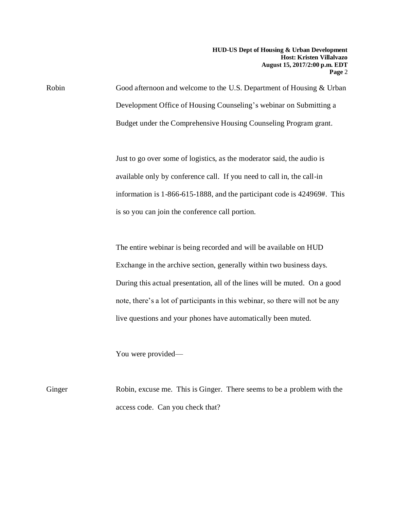**HUD-US Dept of Housing & Urban Development Host: Kristen Villalvazo August 15, 2017/2:00 p.m. EDT Page** 2

Robin Good afternoon and welcome to the U.S. Department of Housing & Urban Development Office of Housing Counseling's webinar on Submitting a Budget under the Comprehensive Housing Counseling Program grant.

> Just to go over some of logistics, as the moderator said, the audio is available only by conference call. If you need to call in, the call-in information is 1-866-615-1888, and the participant code is 424969#. This is so you can join the conference call portion.

The entire webinar is being recorded and will be available on HUD Exchange in the archive section, generally within two business days. During this actual presentation, all of the lines will be muted. On a good note, there's a lot of participants in this webinar, so there will not be any live questions and your phones have automatically been muted.

You were provided—

Ginger Robin, excuse me. This is Ginger. There seems to be a problem with the access code. Can you check that?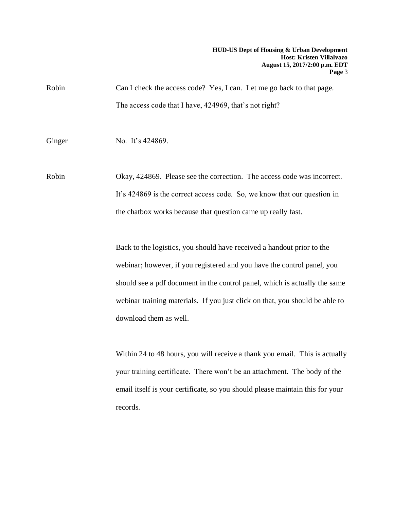Robin Can I check the access code? Yes, I can. Let me go back to that page. The access code that I have, 424969, that's not right?

Ginger No. It's 424869.

Robin Okay, 424869. Please see the correction. The access code was incorrect. It's 424869 is the correct access code. So, we know that our question in the chatbox works because that question came up really fast.

> Back to the logistics, you should have received a handout prior to the webinar; however, if you registered and you have the control panel, you should see a pdf document in the control panel, which is actually the same webinar training materials. If you just click on that, you should be able to download them as well.

> Within 24 to 48 hours, you will receive a thank you email. This is actually your training certificate. There won't be an attachment. The body of the email itself is your certificate, so you should please maintain this for your records.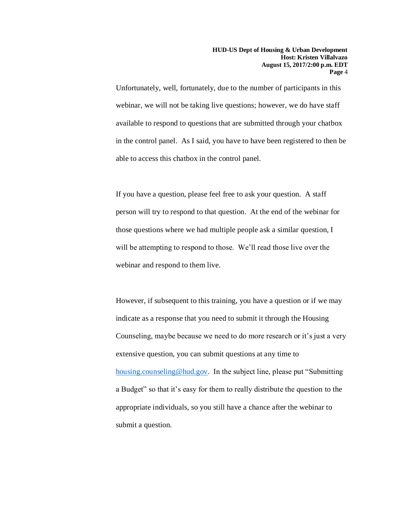Unfortunately, well, fortunately, due to the number of participants in this webinar, we will not be taking live questions; however, we do have staff available to respond to questions that are submitted through your chatbox in the control panel. As I said, you have to have been registered to then be able to access this chatbox in the control panel.

If you have a question, please feel free to ask your question. A staff person will try to respond to that question. At the end of the webinar for those questions where we had multiple people ask a similar question, I will be attempting to respond to those. We'll read those live over the webinar and respond to them live.

However, if subsequent to this training, you have a question or if we may indicate as a response that you need to submit it through the Housing Counseling, maybe because we need to do more research or it's just a very extensive question, you can submit questions at any time to [housing.counseling@hud.gov.](mailto:housing.counseling@hud.gov) In the subject line, please put "Submitting a Budget" so that it's easy for them to really distribute the question to the appropriate individuals, so you still have a chance after the webinar to submit a question.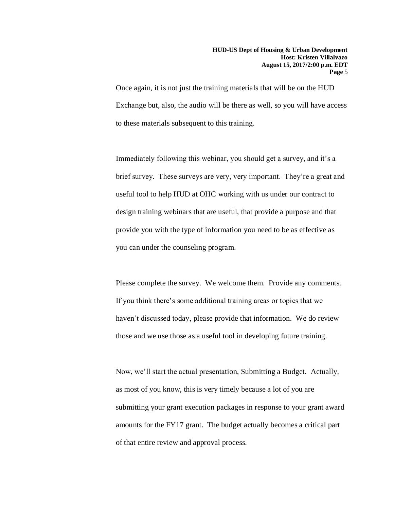Once again, it is not just the training materials that will be on the HUD Exchange but, also, the audio will be there as well, so you will have access to these materials subsequent to this training.

Immediately following this webinar, you should get a survey, and it's a brief survey. These surveys are very, very important. They're a great and useful tool to help HUD at OHC working with us under our contract to design training webinars that are useful, that provide a purpose and that provide you with the type of information you need to be as effective as you can under the counseling program.

Please complete the survey. We welcome them. Provide any comments. If you think there's some additional training areas or topics that we haven't discussed today, please provide that information. We do review those and we use those as a useful tool in developing future training.

Now, we'll start the actual presentation, Submitting a Budget. Actually, as most of you know, this is very timely because a lot of you are submitting your grant execution packages in response to your grant award amounts for the FY17 grant. The budget actually becomes a critical part of that entire review and approval process.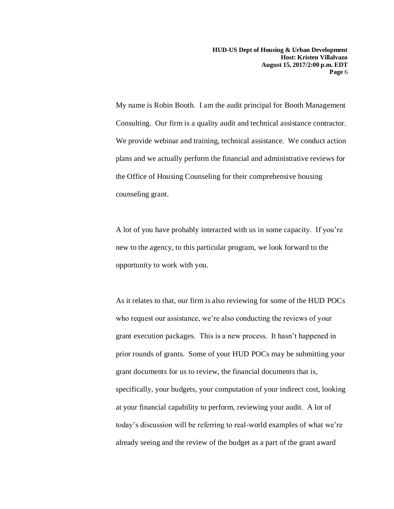**HUD-US Dept of Housing & Urban Development Host: Kristen Villalvazo August 15, 2017/2:00 p.m. EDT Page** 6

My name is Robin Booth. I am the audit principal for Booth Management Consulting. Our firm is a quality audit and technical assistance contractor. We provide webinar and training, technical assistance. We conduct action plans and we actually perform the financial and administrative reviews for the Office of Housing Counseling for their comprehensive housing counseling grant.

A lot of you have probably interacted with us in some capacity. If you're new to the agency, to this particular program, we look forward to the opportunity to work with you.

As it relates to that, our firm is also reviewing for some of the HUD POCs who request our assistance, we're also conducting the reviews of your grant execution packages. This is a new process. It hasn't happened in prior rounds of grants. Some of your HUD POCs may be submitting your grant documents for us to review, the financial documents that is, specifically, your budgets, your computation of your indirect cost, looking at your financial capability to perform, reviewing your audit. A lot of today's discussion will be referring to real-world examples of what we're already seeing and the review of the budget as a part of the grant award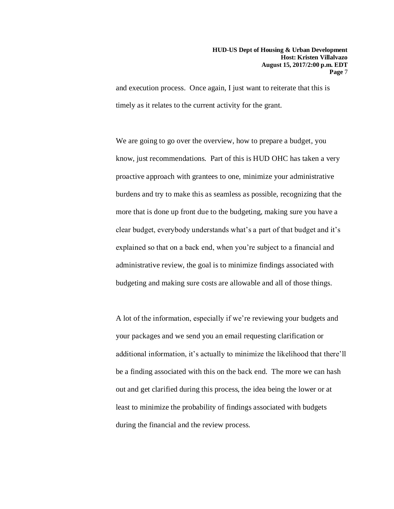and execution process. Once again, I just want to reiterate that this is timely as it relates to the current activity for the grant.

We are going to go over the overview, how to prepare a budget, you know, just recommendations. Part of this is HUD OHC has taken a very proactive approach with grantees to one, minimize your administrative burdens and try to make this as seamless as possible, recognizing that the more that is done up front due to the budgeting, making sure you have a clear budget, everybody understands what's a part of that budget and it's explained so that on a back end, when you're subject to a financial and administrative review, the goal is to minimize findings associated with budgeting and making sure costs are allowable and all of those things.

A lot of the information, especially if we're reviewing your budgets and your packages and we send you an email requesting clarification or additional information, it's actually to minimize the likelihood that there'll be a finding associated with this on the back end. The more we can hash out and get clarified during this process, the idea being the lower or at least to minimize the probability of findings associated with budgets during the financial and the review process.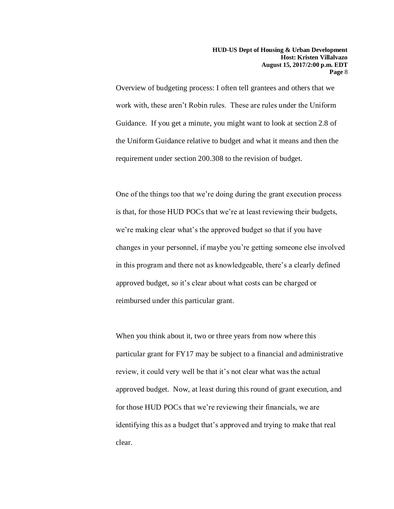Overview of budgeting process: I often tell grantees and others that we work with, these aren't Robin rules. These are rules under the Uniform Guidance. If you get a minute, you might want to look at section 2.8 of the Uniform Guidance relative to budget and what it means and then the requirement under section 200.308 to the revision of budget.

One of the things too that we're doing during the grant execution process is that, for those HUD POCs that we're at least reviewing their budgets, we're making clear what's the approved budget so that if you have changes in your personnel, if maybe you're getting someone else involved in this program and there not as knowledgeable, there's a clearly defined approved budget, so it's clear about what costs can be charged or reimbursed under this particular grant.

When you think about it, two or three years from now where this particular grant for FY17 may be subject to a financial and administrative review, it could very well be that it's not clear what was the actual approved budget. Now, at least during this round of grant execution, and for those HUD POCs that we're reviewing their financials, we are identifying this as a budget that's approved and trying to make that real clear.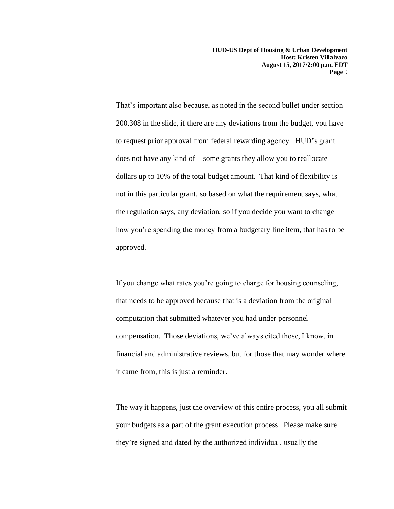**HUD-US Dept of Housing & Urban Development Host: Kristen Villalvazo August 15, 2017/2:00 p.m. EDT Page** 9

That's important also because, as noted in the second bullet under section 200.308 in the slide, if there are any deviations from the budget, you have to request prior approval from federal rewarding agency. HUD's grant does not have any kind of—some grants they allow you to reallocate dollars up to 10% of the total budget amount. That kind of flexibility is not in this particular grant, so based on what the requirement says, what the regulation says, any deviation, so if you decide you want to change how you're spending the money from a budgetary line item, that has to be approved.

If you change what rates you're going to charge for housing counseling, that needs to be approved because that is a deviation from the original computation that submitted whatever you had under personnel compensation. Those deviations, we've always cited those, I know, in financial and administrative reviews, but for those that may wonder where it came from, this is just a reminder.

The way it happens, just the overview of this entire process, you all submit your budgets as a part of the grant execution process. Please make sure they're signed and dated by the authorized individual, usually the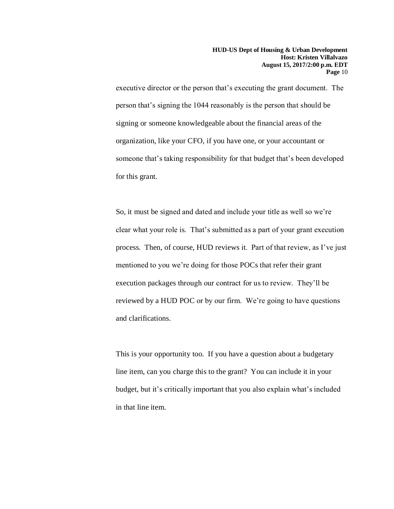executive director or the person that's executing the grant document. The person that's signing the 1044 reasonably is the person that should be signing or someone knowledgeable about the financial areas of the organization, like your CFO, if you have one, or your accountant or someone that's taking responsibility for that budget that's been developed for this grant.

So, it must be signed and dated and include your title as well so we're clear what your role is. That's submitted as a part of your grant execution process. Then, of course, HUD reviews it. Part of that review, as I've just mentioned to you we're doing for those POCs that refer their grant execution packages through our contract for us to review. They'll be reviewed by a HUD POC or by our firm. We're going to have questions and clarifications.

This is your opportunity too. If you have a question about a budgetary line item, can you charge this to the grant? You can include it in your budget, but it's critically important that you also explain what's included in that line item.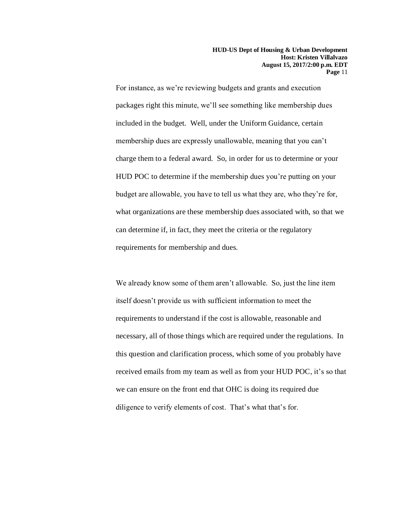For instance, as we're reviewing budgets and grants and execution packages right this minute, we'll see something like membership dues included in the budget. Well, under the Uniform Guidance, certain membership dues are expressly unallowable, meaning that you can't charge them to a federal award. So, in order for us to determine or your HUD POC to determine if the membership dues you're putting on your budget are allowable, you have to tell us what they are, who they're for, what organizations are these membership dues associated with, so that we can determine if, in fact, they meet the criteria or the regulatory requirements for membership and dues.

We already know some of them aren't allowable. So, just the line item itself doesn't provide us with sufficient information to meet the requirements to understand if the cost is allowable, reasonable and necessary, all of those things which are required under the regulations. In this question and clarification process, which some of you probably have received emails from my team as well as from your HUD POC, it's so that we can ensure on the front end that OHC is doing its required due diligence to verify elements of cost. That's what that's for.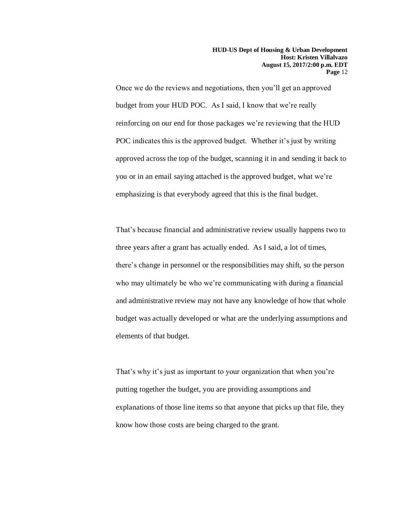Once we do the reviews and negotiations, then you'll get an approved budget from your HUD POC. As I said, I know that we're really reinforcing on our end for those packages we're reviewing that the HUD POC indicates this is the approved budget. Whether it's just by writing approved across the top of the budget, scanning it in and sending it back to you or in an email saying attached is the approved budget, what we're emphasizing is that everybody agreed that this is the final budget.

That's because financial and administrative review usually happens two to three years after a grant has actually ended. As I said, a lot of times, there's change in personnel or the responsibilities may shift, so the person who may ultimately be who we're communicating with during a financial and administrative review may not have any knowledge of how that whole budget was actually developed or what are the underlying assumptions and elements of that budget.

That's why it's just as important to your organization that when you're putting together the budget, you are providing assumptions and explanations of those line items so that anyone that picks up that file, they know how those costs are being charged to the grant.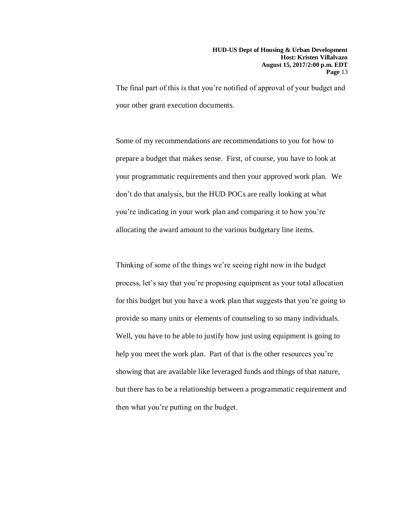The final part of this is that you're notified of approval of your budget and your other grant execution documents.

Some of my recommendations are recommendations to you for how to prepare a budget that makes sense. First, of course, you have to look at your programmatic requirements and then your approved work plan. We don't do that analysis, but the HUD POCs are really looking at what you're indicating in your work plan and comparing it to how you're allocating the award amount to the various budgetary line items.

Thinking of some of the things we're seeing right now in the budget process, let's say that you're proposing equipment as your total allocation for this budget but you have a work plan that suggests that you're going to provide so many units or elements of counseling to so many individuals. Well, you have to be able to justify how just using equipment is going to help you meet the work plan. Part of that is the other resources you're showing that are available like leveraged funds and things of that nature, but there has to be a relationship between a programmatic requirement and then what you're putting on the budget.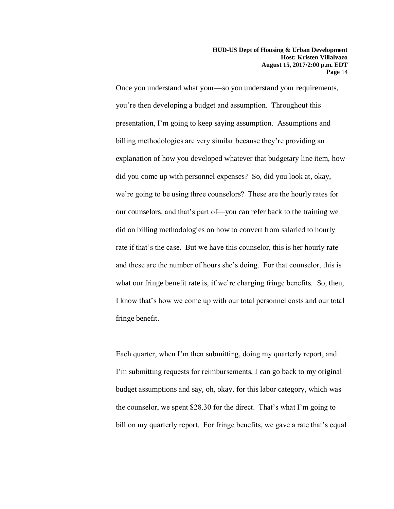Once you understand what your—so you understand your requirements, you're then developing a budget and assumption. Throughout this presentation, I'm going to keep saying assumption. Assumptions and billing methodologies are very similar because they're providing an explanation of how you developed whatever that budgetary line item, how did you come up with personnel expenses? So, did you look at, okay, we're going to be using three counselors? These are the hourly rates for our counselors, and that's part of—you can refer back to the training we did on billing methodologies on how to convert from salaried to hourly rate if that's the case. But we have this counselor, this is her hourly rate and these are the number of hours she's doing. For that counselor, this is what our fringe benefit rate is, if we're charging fringe benefits. So, then, I know that's how we come up with our total personnel costs and our total fringe benefit.

Each quarter, when I'm then submitting, doing my quarterly report, and I'm submitting requests for reimbursements, I can go back to my original budget assumptions and say, oh, okay, for this labor category, which was the counselor, we spent \$28.30 for the direct. That's what I'm going to bill on my quarterly report. For fringe benefits, we gave a rate that's equal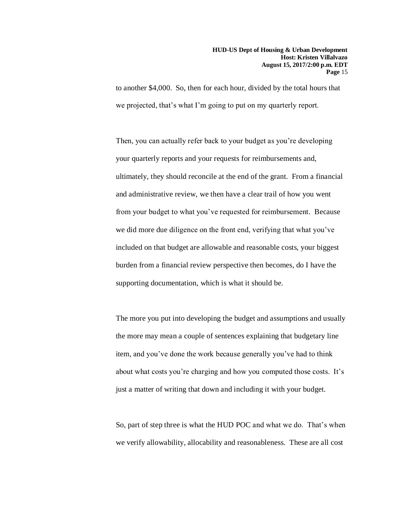to another \$4,000. So, then for each hour, divided by the total hours that we projected, that's what I'm going to put on my quarterly report.

Then, you can actually refer back to your budget as you're developing your quarterly reports and your requests for reimbursements and, ultimately, they should reconcile at the end of the grant. From a financial and administrative review, we then have a clear trail of how you went from your budget to what you've requested for reimbursement. Because we did more due diligence on the front end, verifying that what you've included on that budget are allowable and reasonable costs, your biggest burden from a financial review perspective then becomes, do I have the supporting documentation, which is what it should be.

The more you put into developing the budget and assumptions and usually the more may mean a couple of sentences explaining that budgetary line item, and you've done the work because generally you've had to think about what costs you're charging and how you computed those costs. It's just a matter of writing that down and including it with your budget.

So, part of step three is what the HUD POC and what we do. That's when we verify allowability, allocability and reasonableness. These are all cost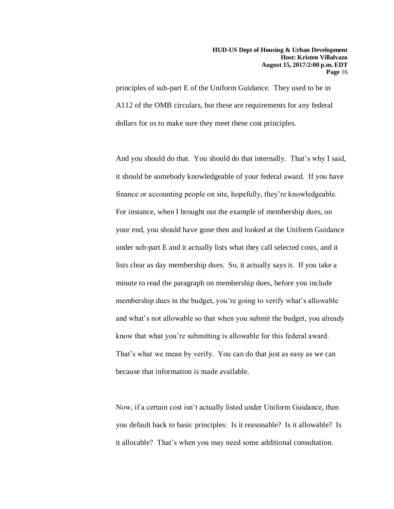principles of sub-part E of the Uniform Guidance. They used to be in A112 of the OMB circulars, but these are requirements for any federal dollars for us to make sure they meet these cost principles.

And you should do that. You should do that internally. That's why I said, it should be somebody knowledgeable of your federal award. If you have finance or accounting people on site, hopefully, they're knowledgeable. For instance, when I brought out the example of membership dues, on your end, you should have gone then and looked at the Uniform Guidance under sub-part E and it actually lists what they call selected costs, and it lists clear as day membership dues. So, it actually says it. If you take a minute to read the paragraph on membership dues, before you include membership dues in the budget, you're going to verify what's allowable and what's not allowable so that when you submit the budget, you already know that what you're submitting is allowable for this federal award. That's what we mean by verify. You can do that just as easy as we can because that information is made available.

Now, if a certain cost isn't actually listed under Uniform Guidance, then you default back to basic principles: Is it reasonable? Is it allowable? Is it allocable? That's when you may need some additional consultation.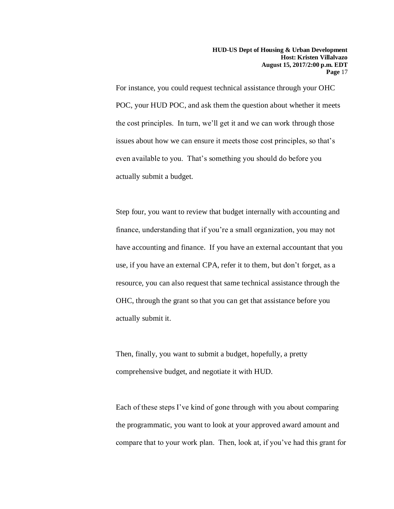For instance, you could request technical assistance through your OHC POC, your HUD POC, and ask them the question about whether it meets the cost principles. In turn, we'll get it and we can work through those issues about how we can ensure it meets those cost principles, so that's even available to you. That's something you should do before you actually submit a budget.

Step four, you want to review that budget internally with accounting and finance, understanding that if you're a small organization, you may not have accounting and finance. If you have an external accountant that you use, if you have an external CPA, refer it to them, but don't forget, as a resource, you can also request that same technical assistance through the OHC, through the grant so that you can get that assistance before you actually submit it.

Then, finally, you want to submit a budget, hopefully, a pretty comprehensive budget, and negotiate it with HUD.

Each of these steps I've kind of gone through with you about comparing the programmatic, you want to look at your approved award amount and compare that to your work plan. Then, look at, if you've had this grant for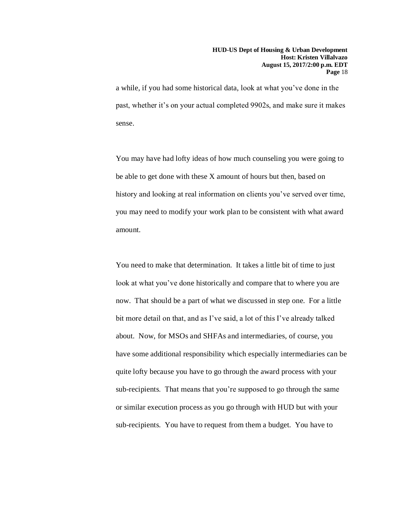a while, if you had some historical data, look at what you've done in the past, whether it's on your actual completed 9902s, and make sure it makes sense.

You may have had lofty ideas of how much counseling you were going to be able to get done with these X amount of hours but then, based on history and looking at real information on clients you've served over time, you may need to modify your work plan to be consistent with what award amount.

You need to make that determination. It takes a little bit of time to just look at what you've done historically and compare that to where you are now. That should be a part of what we discussed in step one. For a little bit more detail on that, and as I've said, a lot of this I've already talked about. Now, for MSOs and SHFAs and intermediaries, of course, you have some additional responsibility which especially intermediaries can be quite lofty because you have to go through the award process with your sub-recipients. That means that you're supposed to go through the same or similar execution process as you go through with HUD but with your sub-recipients. You have to request from them a budget. You have to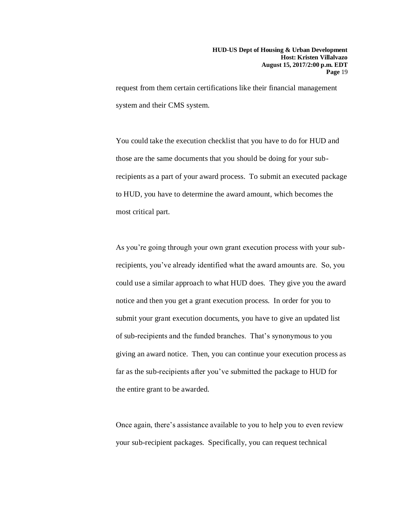request from them certain certifications like their financial management system and their CMS system.

You could take the execution checklist that you have to do for HUD and those are the same documents that you should be doing for your subrecipients as a part of your award process. To submit an executed package to HUD, you have to determine the award amount, which becomes the most critical part.

As you're going through your own grant execution process with your subrecipients, you've already identified what the award amounts are. So, you could use a similar approach to what HUD does. They give you the award notice and then you get a grant execution process. In order for you to submit your grant execution documents, you have to give an updated list of sub-recipients and the funded branches. That's synonymous to you giving an award notice. Then, you can continue your execution process as far as the sub-recipients after you've submitted the package to HUD for the entire grant to be awarded.

Once again, there's assistance available to you to help you to even review your sub-recipient packages. Specifically, you can request technical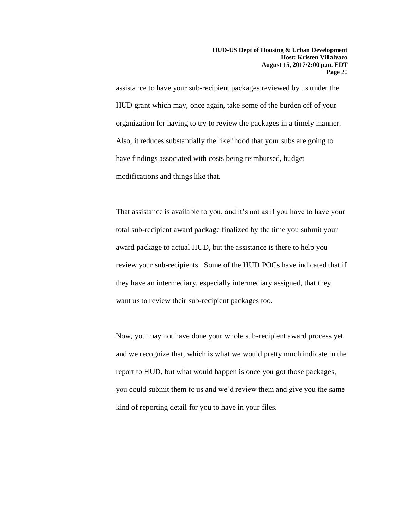assistance to have your sub-recipient packages reviewed by us under the HUD grant which may, once again, take some of the burden off of your organization for having to try to review the packages in a timely manner. Also, it reduces substantially the likelihood that your subs are going to have findings associated with costs being reimbursed, budget modifications and things like that.

That assistance is available to you, and it's not as if you have to have your total sub-recipient award package finalized by the time you submit your award package to actual HUD, but the assistance is there to help you review your sub-recipients. Some of the HUD POCs have indicated that if they have an intermediary, especially intermediary assigned, that they want us to review their sub-recipient packages too.

Now, you may not have done your whole sub-recipient award process yet and we recognize that, which is what we would pretty much indicate in the report to HUD, but what would happen is once you got those packages, you could submit them to us and we'd review them and give you the same kind of reporting detail for you to have in your files.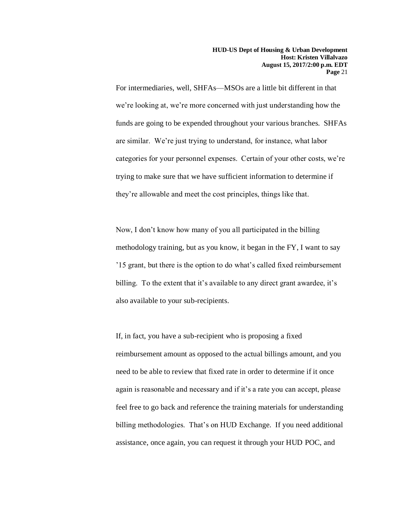For intermediaries, well, SHFAs—MSOs are a little bit different in that we're looking at, we're more concerned with just understanding how the funds are going to be expended throughout your various branches. SHFAs are similar. We're just trying to understand, for instance, what labor categories for your personnel expenses. Certain of your other costs, we're trying to make sure that we have sufficient information to determine if they're allowable and meet the cost principles, things like that.

Now, I don't know how many of you all participated in the billing methodology training, but as you know, it began in the FY, I want to say '15 grant, but there is the option to do what's called fixed reimbursement billing. To the extent that it's available to any direct grant awardee, it's also available to your sub-recipients.

If, in fact, you have a sub-recipient who is proposing a fixed reimbursement amount as opposed to the actual billings amount, and you need to be able to review that fixed rate in order to determine if it once again is reasonable and necessary and if it's a rate you can accept, please feel free to go back and reference the training materials for understanding billing methodologies. That's on HUD Exchange. If you need additional assistance, once again, you can request it through your HUD POC, and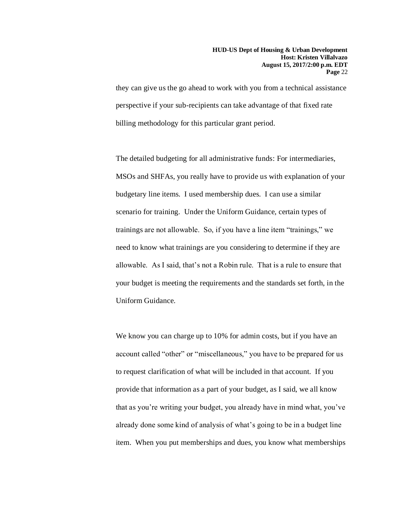they can give us the go ahead to work with you from a technical assistance perspective if your sub-recipients can take advantage of that fixed rate billing methodology for this particular grant period.

The detailed budgeting for all administrative funds: For intermediaries, MSOs and SHFAs, you really have to provide us with explanation of your budgetary line items. I used membership dues. I can use a similar scenario for training. Under the Uniform Guidance, certain types of trainings are not allowable. So, if you have a line item "trainings," we need to know what trainings are you considering to determine if they are allowable. As I said, that's not a Robin rule. That is a rule to ensure that your budget is meeting the requirements and the standards set forth, in the Uniform Guidance.

We know you can charge up to 10% for admin costs, but if you have an account called "other" or "miscellaneous," you have to be prepared for us to request clarification of what will be included in that account. If you provide that information as a part of your budget, as I said, we all know that as you're writing your budget, you already have in mind what, you've already done some kind of analysis of what's going to be in a budget line item. When you put memberships and dues, you know what memberships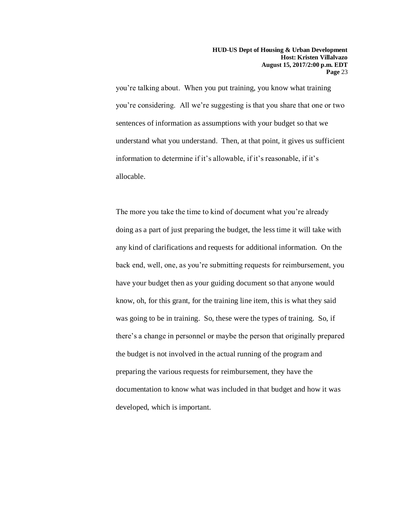you're talking about. When you put training, you know what training you're considering. All we're suggesting is that you share that one or two sentences of information as assumptions with your budget so that we understand what you understand. Then, at that point, it gives us sufficient information to determine if it's allowable, if it's reasonable, if it's allocable.

The more you take the time to kind of document what you're already doing as a part of just preparing the budget, the less time it will take with any kind of clarifications and requests for additional information. On the back end, well, one, as you're submitting requests for reimbursement, you have your budget then as your guiding document so that anyone would know, oh, for this grant, for the training line item, this is what they said was going to be in training. So, these were the types of training. So, if there's a change in personnel or maybe the person that originally prepared the budget is not involved in the actual running of the program and preparing the various requests for reimbursement, they have the documentation to know what was included in that budget and how it was developed, which is important.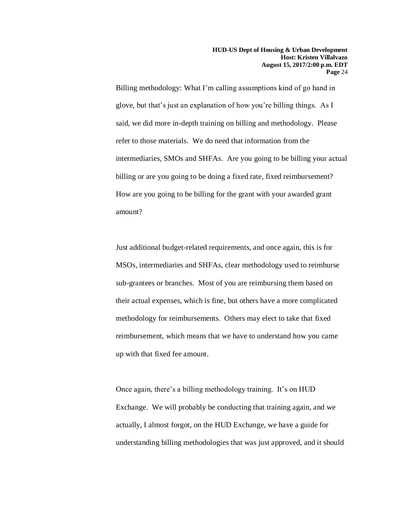Billing methodology: What I'm calling assumptions kind of go hand in glove, but that's just an explanation of how you're billing things. As I said, we did more in-depth training on billing and methodology. Please refer to those materials. We do need that information from the intermediaries, SMOs and SHFAs. Are you going to be billing your actual billing or are you going to be doing a fixed rate, fixed reimbursement? How are you going to be billing for the grant with your awarded grant amount?

Just additional budget-related requirements, and once again, this is for MSOs, intermediaries and SHFAs, clear methodology used to reimburse sub-grantees or branches. Most of you are reimbursing them based on their actual expenses, which is fine, but others have a more complicated methodology for reimbursements. Others may elect to take that fixed reimbursement, which means that we have to understand how you came up with that fixed fee amount.

Once again, there's a billing methodology training. It's on HUD Exchange. We will probably be conducting that training again, and we actually, I almost forgot, on the HUD Exchange, we have a guide for understanding billing methodologies that was just approved, and it should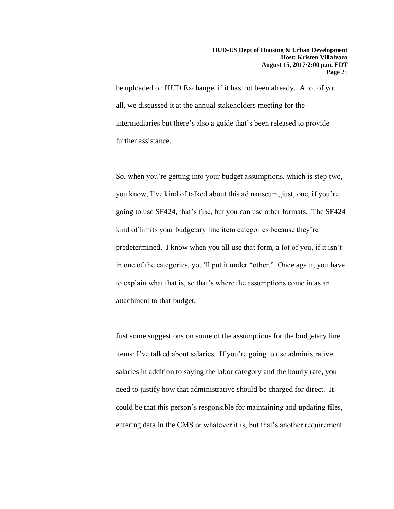be uploaded on HUD Exchange, if it has not been already. A lot of you all, we discussed it at the annual stakeholders meeting for the intermediaries but there's also a guide that's been released to provide further assistance.

So, when you're getting into your budget assumptions, which is step two, you know, I've kind of talked about this ad nauseum, just, one, if you're going to use SF424, that's fine, but you can use other formats. The SF424 kind of limits your budgetary line item categories because they're predetermined. I know when you all use that form, a lot of you, if it isn't in one of the categories, you'll put it under "other." Once again, you have to explain what that is, so that's where the assumptions come in as an attachment to that budget.

Just some suggestions on some of the assumptions for the budgetary line items: I've talked about salaries. If you're going to use administrative salaries in addition to saying the labor category and the hourly rate, you need to justify how that administrative should be charged for direct. It could be that this person's responsible for maintaining and updating files, entering data in the CMS or whatever it is, but that's another requirement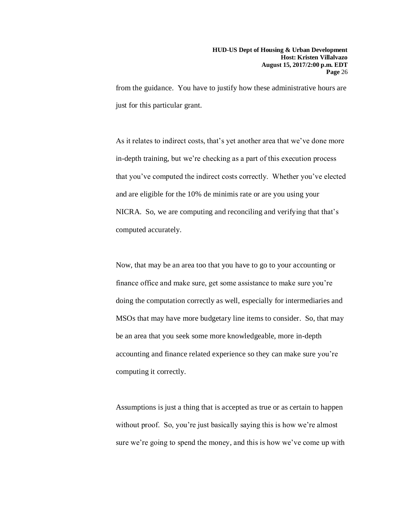from the guidance. You have to justify how these administrative hours are just for this particular grant.

As it relates to indirect costs, that's yet another area that we've done more in-depth training, but we're checking as a part of this execution process that you've computed the indirect costs correctly. Whether you've elected and are eligible for the 10% de minimis rate or are you using your NICRA. So, we are computing and reconciling and verifying that that's computed accurately.

Now, that may be an area too that you have to go to your accounting or finance office and make sure, get some assistance to make sure you're doing the computation correctly as well, especially for intermediaries and MSOs that may have more budgetary line items to consider. So, that may be an area that you seek some more knowledgeable, more in-depth accounting and finance related experience so they can make sure you're computing it correctly.

Assumptions is just a thing that is accepted as true or as certain to happen without proof. So, you're just basically saying this is how we're almost sure we're going to spend the money, and this is how we've come up with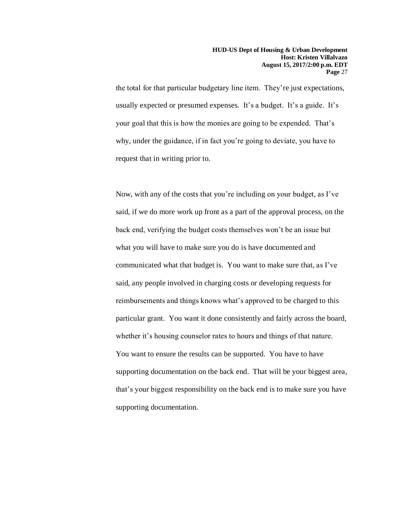the total for that particular budgetary line item. They're just expectations, usually expected or presumed expenses. It's a budget. It's a guide. It's your goal that this is how the monies are going to be expended. That's why, under the guidance, if in fact you're going to deviate, you have to request that in writing prior to.

Now, with any of the costs that you're including on your budget, as I've said, if we do more work up front as a part of the approval process, on the back end, verifying the budget costs themselves won't be an issue but what you will have to make sure you do is have documented and communicated what that budget is. You want to make sure that, as I've said, any people involved in charging costs or developing requests for reimbursements and things knows what's approved to be charged to this particular grant. You want it done consistently and fairly across the board, whether it's housing counselor rates to hours and things of that nature. You want to ensure the results can be supported. You have to have supporting documentation on the back end. That will be your biggest area, that's your biggest responsibility on the back end is to make sure you have supporting documentation.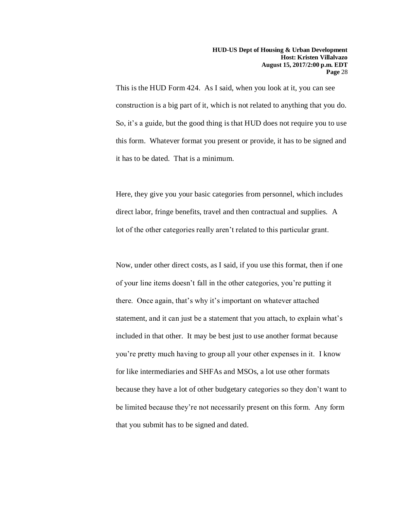This is the HUD Form 424. As I said, when you look at it, you can see construction is a big part of it, which is not related to anything that you do. So, it's a guide, but the good thing is that HUD does not require you to use this form. Whatever format you present or provide, it has to be signed and it has to be dated. That is a minimum.

Here, they give you your basic categories from personnel, which includes direct labor, fringe benefits, travel and then contractual and supplies. A lot of the other categories really aren't related to this particular grant.

Now, under other direct costs, as I said, if you use this format, then if one of your line items doesn't fall in the other categories, you're putting it there. Once again, that's why it's important on whatever attached statement, and it can just be a statement that you attach, to explain what's included in that other. It may be best just to use another format because you're pretty much having to group all your other expenses in it. I know for like intermediaries and SHFAs and MSOs, a lot use other formats because they have a lot of other budgetary categories so they don't want to be limited because they're not necessarily present on this form. Any form that you submit has to be signed and dated.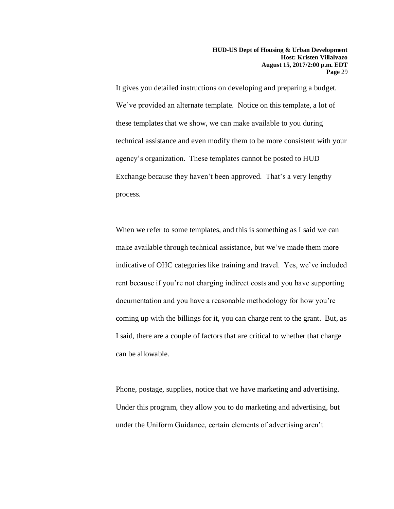It gives you detailed instructions on developing and preparing a budget. We've provided an alternate template. Notice on this template, a lot of these templates that we show, we can make available to you during technical assistance and even modify them to be more consistent with your agency's organization. These templates cannot be posted to HUD Exchange because they haven't been approved. That's a very lengthy process.

When we refer to some templates, and this is something as I said we can make available through technical assistance, but we've made them more indicative of OHC categories like training and travel. Yes, we've included rent because if you're not charging indirect costs and you have supporting documentation and you have a reasonable methodology for how you're coming up with the billings for it, you can charge rent to the grant. But, as I said, there are a couple of factors that are critical to whether that charge can be allowable.

Phone, postage, supplies, notice that we have marketing and advertising. Under this program, they allow you to do marketing and advertising, but under the Uniform Guidance, certain elements of advertising aren't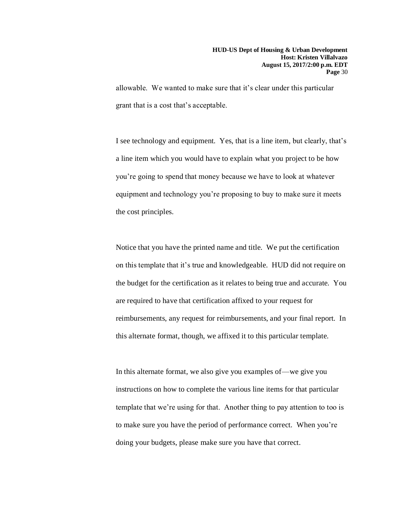allowable. We wanted to make sure that it's clear under this particular grant that is a cost that's acceptable.

I see technology and equipment. Yes, that is a line item, but clearly, that's a line item which you would have to explain what you project to be how you're going to spend that money because we have to look at whatever equipment and technology you're proposing to buy to make sure it meets the cost principles.

Notice that you have the printed name and title. We put the certification on this template that it's true and knowledgeable. HUD did not require on the budget for the certification as it relates to being true and accurate. You are required to have that certification affixed to your request for reimbursements, any request for reimbursements, and your final report. In this alternate format, though, we affixed it to this particular template.

In this alternate format, we also give you examples of—we give you instructions on how to complete the various line items for that particular template that we're using for that. Another thing to pay attention to too is to make sure you have the period of performance correct. When you're doing your budgets, please make sure you have that correct.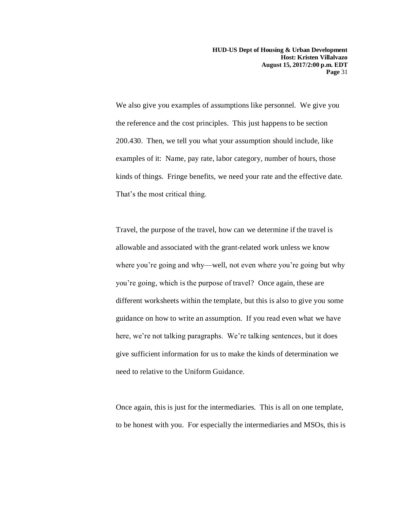**HUD-US Dept of Housing & Urban Development Host: Kristen Villalvazo August 15, 2017/2:00 p.m. EDT Page** 31

We also give you examples of assumptions like personnel. We give you the reference and the cost principles. This just happens to be section 200.430. Then, we tell you what your assumption should include, like examples of it: Name, pay rate, labor category, number of hours, those kinds of things. Fringe benefits, we need your rate and the effective date. That's the most critical thing.

Travel, the purpose of the travel, how can we determine if the travel is allowable and associated with the grant-related work unless we know where you're going and why—well, not even where you're going but why you're going, which is the purpose of travel? Once again, these are different worksheets within the template, but this is also to give you some guidance on how to write an assumption. If you read even what we have here, we're not talking paragraphs. We're talking sentences, but it does give sufficient information for us to make the kinds of determination we need to relative to the Uniform Guidance.

Once again, this is just for the intermediaries. This is all on one template, to be honest with you. For especially the intermediaries and MSOs, this is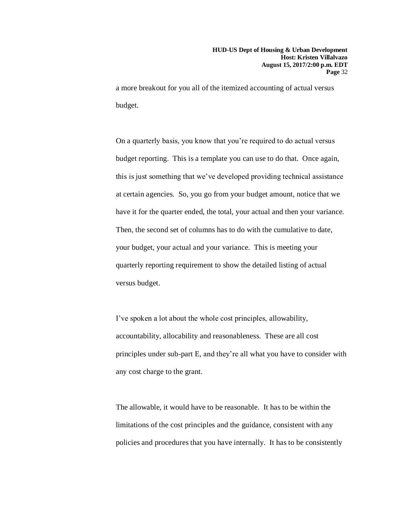a more breakout for you all of the itemized accounting of actual versus budget.

On a quarterly basis, you know that you're required to do actual versus budget reporting. This is a template you can use to do that. Once again, this is just something that we've developed providing technical assistance at certain agencies. So, you go from your budget amount, notice that we have it for the quarter ended, the total, your actual and then your variance. Then, the second set of columns has to do with the cumulative to date, your budget, your actual and your variance. This is meeting your quarterly reporting requirement to show the detailed listing of actual versus budget.

I've spoken a lot about the whole cost principles, allowability, accountability, allocability and reasonableness. These are all cost principles under sub-part E, and they're all what you have to consider with any cost charge to the grant.

The allowable, it would have to be reasonable. It has to be within the limitations of the cost principles and the guidance, consistent with any policies and procedures that you have internally. It has to be consistently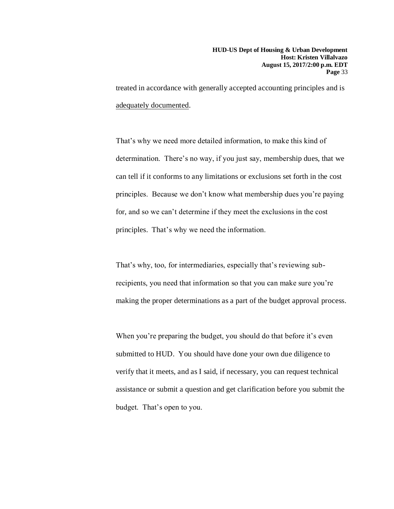treated in accordance with generally accepted accounting principles and is adequately documented.

That's why we need more detailed information, to make this kind of determination. There's no way, if you just say, membership dues, that we can tell if it conforms to any limitations or exclusions set forth in the cost principles. Because we don't know what membership dues you're paying for, and so we can't determine if they meet the exclusions in the cost principles. That's why we need the information.

That's why, too, for intermediaries, especially that's reviewing subrecipients, you need that information so that you can make sure you're making the proper determinations as a part of the budget approval process.

When you're preparing the budget, you should do that before it's even submitted to HUD. You should have done your own due diligence to verify that it meets, and as I said, if necessary, you can request technical assistance or submit a question and get clarification before you submit the budget. That's open to you.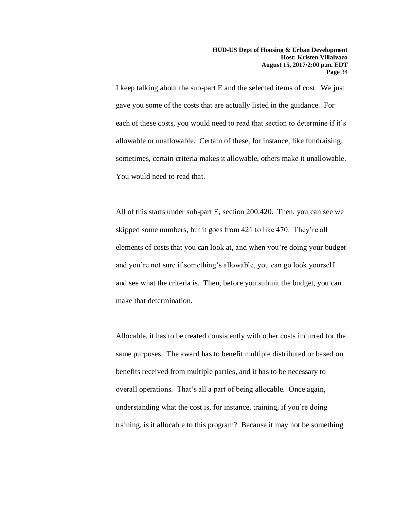I keep talking about the sub-part E and the selected items of cost. We just gave you some of the costs that are actually listed in the guidance. For each of these costs, you would need to read that section to determine if it's allowable or unallowable. Certain of these, for instance, like fundraising, sometimes, certain criteria makes it allowable, others make it unallowable. You would need to read that.

All of this starts under sub-part E, section 200.420. Then, you can see we skipped some numbers, but it goes from 421 to like 470. They're all elements of costs that you can look at, and when you're doing your budget and you're not sure if something's allowable, you can go look yourself and see what the criteria is. Then, before you submit the budget, you can make that determination.

Allocable, it has to be treated consistently with other costs incurred for the same purposes. The award has to benefit multiple distributed or based on benefits received from multiple parties, and it has to be necessary to overall operations. That's all a part of being allocable. Once again, understanding what the cost is, for instance, training, if you're doing training, is it allocable to this program? Because it may not be something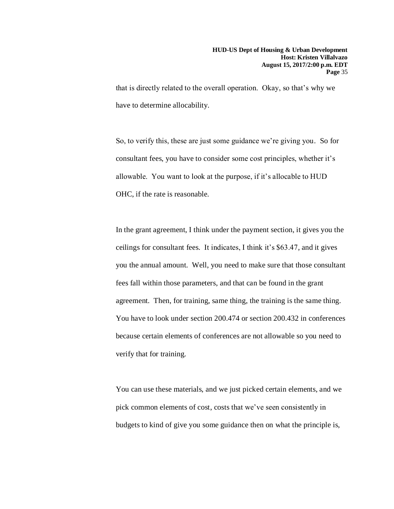that is directly related to the overall operation. Okay, so that's why we have to determine allocability.

So, to verify this, these are just some guidance we're giving you. So for consultant fees, you have to consider some cost principles, whether it's allowable. You want to look at the purpose, if it's allocable to HUD OHC, if the rate is reasonable.

In the grant agreement, I think under the payment section, it gives you the ceilings for consultant fees. It indicates, I think it's \$63.47, and it gives you the annual amount. Well, you need to make sure that those consultant fees fall within those parameters, and that can be found in the grant agreement. Then, for training, same thing, the training is the same thing. You have to look under section 200.474 or section 200.432 in conferences because certain elements of conferences are not allowable so you need to verify that for training.

You can use these materials, and we just picked certain elements, and we pick common elements of cost, costs that we've seen consistently in budgets to kind of give you some guidance then on what the principle is,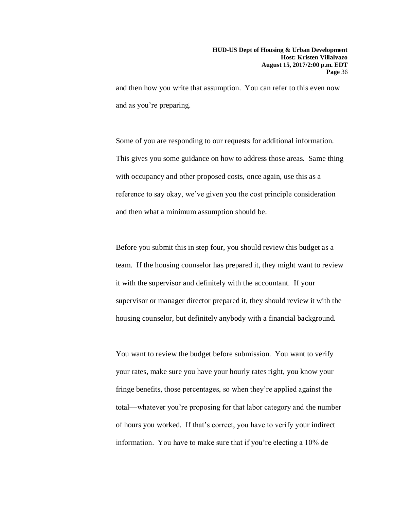and then how you write that assumption. You can refer to this even now and as you're preparing.

Some of you are responding to our requests for additional information. This gives you some guidance on how to address those areas. Same thing with occupancy and other proposed costs, once again, use this as a reference to say okay, we've given you the cost principle consideration and then what a minimum assumption should be.

Before you submit this in step four, you should review this budget as a team. If the housing counselor has prepared it, they might want to review it with the supervisor and definitely with the accountant. If your supervisor or manager director prepared it, they should review it with the housing counselor, but definitely anybody with a financial background.

You want to review the budget before submission. You want to verify your rates, make sure you have your hourly rates right, you know your fringe benefits, those percentages, so when they're applied against the total—whatever you're proposing for that labor category and the number of hours you worked. If that's correct, you have to verify your indirect information. You have to make sure that if you're electing a 10% de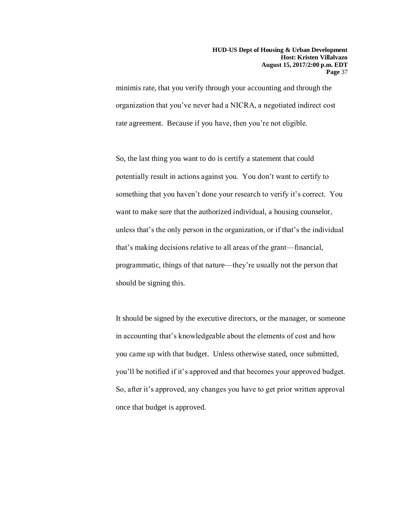minimis rate, that you verify through your accounting and through the organization that you've never had a NICRA, a negotiated indirect cost rate agreement. Because if you have, then you're not eligible.

So, the last thing you want to do is certify a statement that could potentially result in actions against you. You don't want to certify to something that you haven't done your research to verify it's correct. You want to make sure that the authorized individual, a housing counselor, unless that's the only person in the organization, or if that's the individual that's making decisions relative to all areas of the grant—financial, programmatic, things of that nature—they're usually not the person that should be signing this.

It should be signed by the executive directors, or the manager, or someone in accounting that's knowledgeable about the elements of cost and how you came up with that budget. Unless otherwise stated, once submitted, you'll be notified if it's approved and that becomes your approved budget. So, after it's approved, any changes you have to get prior written approval once that budget is approved.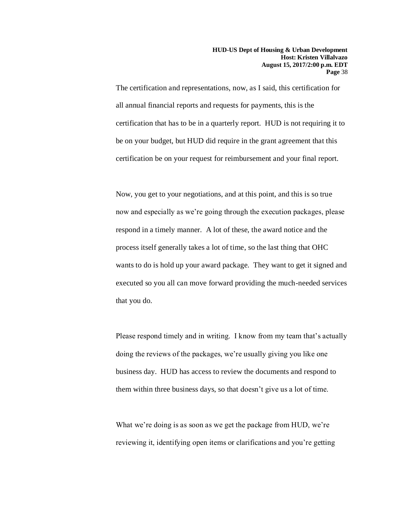The certification and representations, now, as I said, this certification for all annual financial reports and requests for payments, this is the certification that has to be in a quarterly report. HUD is not requiring it to be on your budget, but HUD did require in the grant agreement that this certification be on your request for reimbursement and your final report.

Now, you get to your negotiations, and at this point, and this is so true now and especially as we're going through the execution packages, please respond in a timely manner. A lot of these, the award notice and the process itself generally takes a lot of time, so the last thing that OHC wants to do is hold up your award package. They want to get it signed and executed so you all can move forward providing the much-needed services that you do.

Please respond timely and in writing. I know from my team that's actually doing the reviews of the packages, we're usually giving you like one business day. HUD has access to review the documents and respond to them within three business days, so that doesn't give us a lot of time.

What we're doing is as soon as we get the package from HUD, we're reviewing it, identifying open items or clarifications and you're getting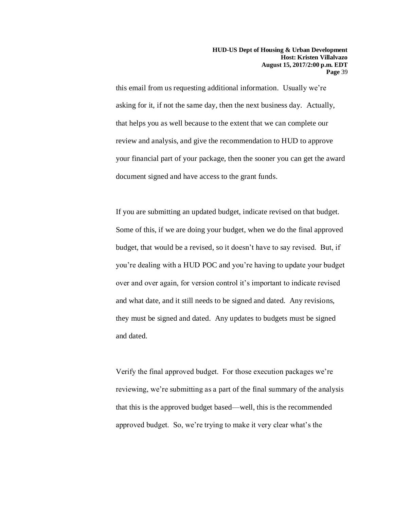this email from us requesting additional information. Usually we're asking for it, if not the same day, then the next business day. Actually, that helps you as well because to the extent that we can complete our review and analysis, and give the recommendation to HUD to approve your financial part of your package, then the sooner you can get the award document signed and have access to the grant funds.

If you are submitting an updated budget, indicate revised on that budget. Some of this, if we are doing your budget, when we do the final approved budget, that would be a revised, so it doesn't have to say revised. But, if you're dealing with a HUD POC and you're having to update your budget over and over again, for version control it's important to indicate revised and what date, and it still needs to be signed and dated. Any revisions, they must be signed and dated. Any updates to budgets must be signed and dated.

Verify the final approved budget. For those execution packages we're reviewing, we're submitting as a part of the final summary of the analysis that this is the approved budget based—well, this is the recommended approved budget. So, we're trying to make it very clear what's the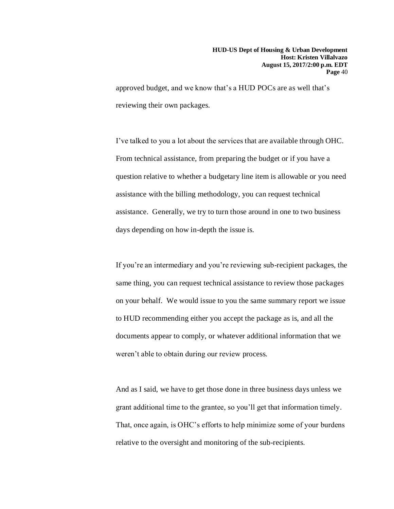approved budget, and we know that's a HUD POCs are as well that's reviewing their own packages.

I've talked to you a lot about the services that are available through OHC. From technical assistance, from preparing the budget or if you have a question relative to whether a budgetary line item is allowable or you need assistance with the billing methodology, you can request technical assistance. Generally, we try to turn those around in one to two business days depending on how in-depth the issue is.

If you're an intermediary and you're reviewing sub-recipient packages, the same thing, you can request technical assistance to review those packages on your behalf. We would issue to you the same summary report we issue to HUD recommending either you accept the package as is, and all the documents appear to comply, or whatever additional information that we weren't able to obtain during our review process.

And as I said, we have to get those done in three business days unless we grant additional time to the grantee, so you'll get that information timely. That, once again, is OHC's efforts to help minimize some of your burdens relative to the oversight and monitoring of the sub-recipients.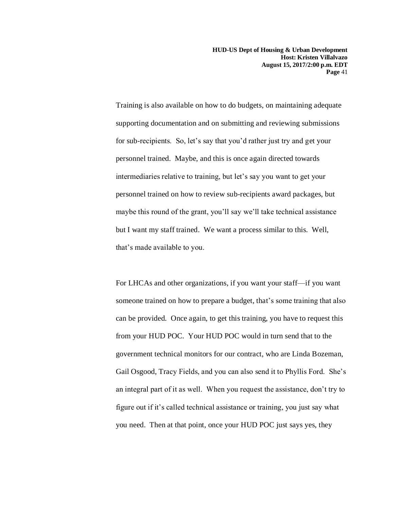**HUD-US Dept of Housing & Urban Development Host: Kristen Villalvazo August 15, 2017/2:00 p.m. EDT Page** 41

Training is also available on how to do budgets, on maintaining adequate supporting documentation and on submitting and reviewing submissions for sub-recipients. So, let's say that you'd rather just try and get your personnel trained. Maybe, and this is once again directed towards intermediaries relative to training, but let's say you want to get your personnel trained on how to review sub-recipients award packages, but maybe this round of the grant, you'll say we'll take technical assistance but I want my staff trained. We want a process similar to this. Well, that's made available to you.

For LHCAs and other organizations, if you want your staff—if you want someone trained on how to prepare a budget, that's some training that also can be provided. Once again, to get this training, you have to request this from your HUD POC. Your HUD POC would in turn send that to the government technical monitors for our contract, who are Linda Bozeman, Gail Osgood, Tracy Fields, and you can also send it to Phyllis Ford. She's an integral part of it as well. When you request the assistance, don't try to figure out if it's called technical assistance or training, you just say what you need. Then at that point, once your HUD POC just says yes, they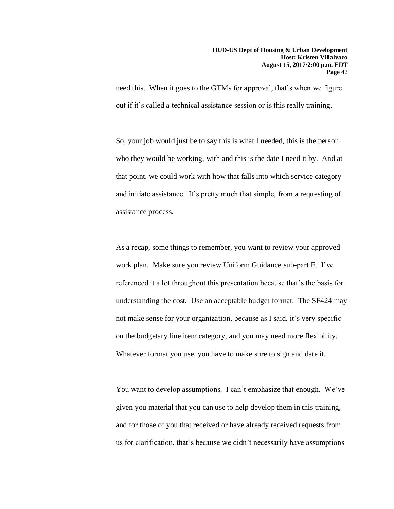need this. When it goes to the GTMs for approval, that's when we figure out if it's called a technical assistance session or is this really training.

So, your job would just be to say this is what I needed, this is the person who they would be working, with and this is the date I need it by. And at that point, we could work with how that falls into which service category and initiate assistance. It's pretty much that simple, from a requesting of assistance process.

As a recap, some things to remember, you want to review your approved work plan. Make sure you review Uniform Guidance sub-part E. I've referenced it a lot throughout this presentation because that's the basis for understanding the cost. Use an acceptable budget format. The SF424 may not make sense for your organization, because as I said, it's very specific on the budgetary line item category, and you may need more flexibility. Whatever format you use, you have to make sure to sign and date it.

You want to develop assumptions. I can't emphasize that enough. We've given you material that you can use to help develop them in this training, and for those of you that received or have already received requests from us for clarification, that's because we didn't necessarily have assumptions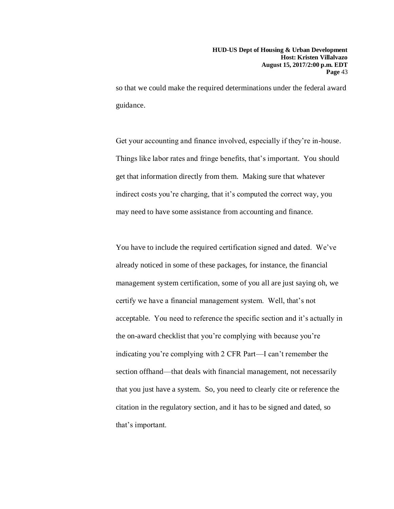so that we could make the required determinations under the federal award guidance.

Get your accounting and finance involved, especially if they're in-house. Things like labor rates and fringe benefits, that's important. You should get that information directly from them. Making sure that whatever indirect costs you're charging, that it's computed the correct way, you may need to have some assistance from accounting and finance.

You have to include the required certification signed and dated. We've already noticed in some of these packages, for instance, the financial management system certification, some of you all are just saying oh, we certify we have a financial management system. Well, that's not acceptable. You need to reference the specific section and it's actually in the on-award checklist that you're complying with because you're indicating you're complying with 2 CFR Part—I can't remember the section offhand—that deals with financial management, not necessarily that you just have a system. So, you need to clearly cite or reference the citation in the regulatory section, and it has to be signed and dated, so that's important.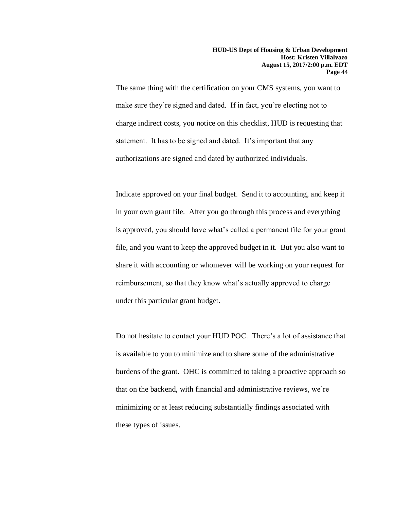The same thing with the certification on your CMS systems, you want to make sure they're signed and dated. If in fact, you're electing not to charge indirect costs, you notice on this checklist, HUD is requesting that statement. It has to be signed and dated. It's important that any authorizations are signed and dated by authorized individuals.

Indicate approved on your final budget. Send it to accounting, and keep it in your own grant file. After you go through this process and everything is approved, you should have what's called a permanent file for your grant file, and you want to keep the approved budget in it. But you also want to share it with accounting or whomever will be working on your request for reimbursement, so that they know what's actually approved to charge under this particular grant budget.

Do not hesitate to contact your HUD POC. There's a lot of assistance that is available to you to minimize and to share some of the administrative burdens of the grant. OHC is committed to taking a proactive approach so that on the backend, with financial and administrative reviews, we're minimizing or at least reducing substantially findings associated with these types of issues.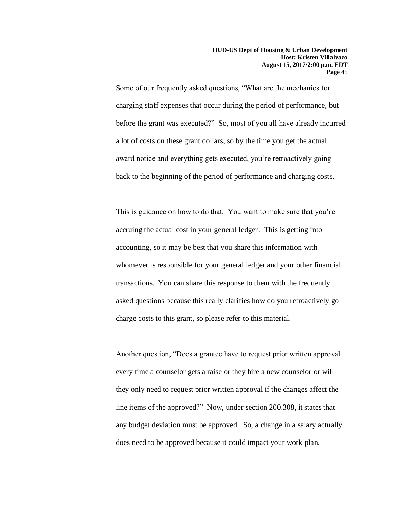Some of our frequently asked questions, "What are the mechanics for charging staff expenses that occur during the period of performance, but before the grant was executed?" So, most of you all have already incurred a lot of costs on these grant dollars, so by the time you get the actual award notice and everything gets executed, you're retroactively going back to the beginning of the period of performance and charging costs.

This is guidance on how to do that. You want to make sure that you're accruing the actual cost in your general ledger. This is getting into accounting, so it may be best that you share this information with whomever is responsible for your general ledger and your other financial transactions. You can share this response to them with the frequently asked questions because this really clarifies how do you retroactively go charge costs to this grant, so please refer to this material.

Another question, "Does a grantee have to request prior written approval every time a counselor gets a raise or they hire a new counselor or will they only need to request prior written approval if the changes affect the line items of the approved?" Now, under section 200.308, it states that any budget deviation must be approved. So, a change in a salary actually does need to be approved because it could impact your work plan,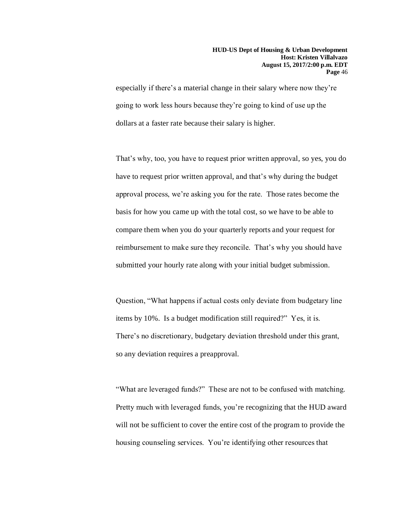especially if there's a material change in their salary where now they're going to work less hours because they're going to kind of use up the dollars at a faster rate because their salary is higher.

That's why, too, you have to request prior written approval, so yes, you do have to request prior written approval, and that's why during the budget approval process, we're asking you for the rate. Those rates become the basis for how you came up with the total cost, so we have to be able to compare them when you do your quarterly reports and your request for reimbursement to make sure they reconcile. That's why you should have submitted your hourly rate along with your initial budget submission.

Question, "What happens if actual costs only deviate from budgetary line items by 10%. Is a budget modification still required?" Yes, it is. There's no discretionary, budgetary deviation threshold under this grant, so any deviation requires a preapproval.

"What are leveraged funds?" These are not to be confused with matching. Pretty much with leveraged funds, you're recognizing that the HUD award will not be sufficient to cover the entire cost of the program to provide the housing counseling services. You're identifying other resources that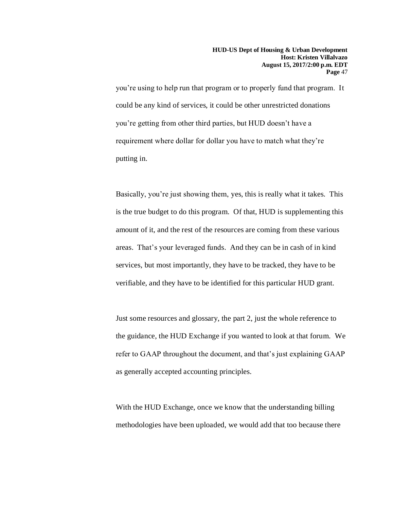you're using to help run that program or to properly fund that program. It could be any kind of services, it could be other unrestricted donations you're getting from other third parties, but HUD doesn't have a requirement where dollar for dollar you have to match what they're putting in.

Basically, you're just showing them, yes, this is really what it takes. This is the true budget to do this program. Of that, HUD is supplementing this amount of it, and the rest of the resources are coming from these various areas. That's your leveraged funds. And they can be in cash of in kind services, but most importantly, they have to be tracked, they have to be verifiable, and they have to be identified for this particular HUD grant.

Just some resources and glossary, the part 2, just the whole reference to the guidance, the HUD Exchange if you wanted to look at that forum. We refer to GAAP throughout the document, and that's just explaining GAAP as generally accepted accounting principles.

With the HUD Exchange, once we know that the understanding billing methodologies have been uploaded, we would add that too because there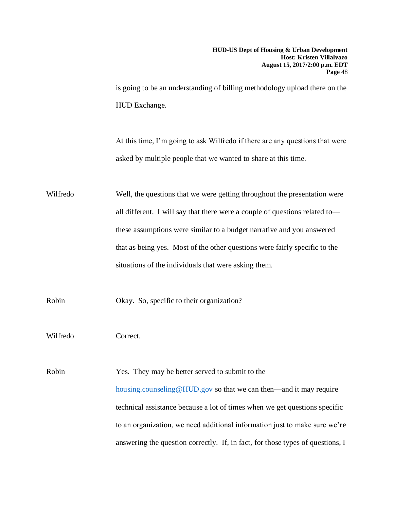is going to be an understanding of billing methodology upload there on the HUD Exchange.

At this time, I'm going to ask Wilfredo if there are any questions that were asked by multiple people that we wanted to share at this time.

Wilfredo Well, the questions that we were getting throughout the presentation were all different. I will say that there were a couple of questions related to these assumptions were similar to a budget narrative and you answered that as being yes. Most of the other questions were fairly specific to the situations of the individuals that were asking them.

Robin Okay. So, specific to their organization?

Wilfredo Correct.

Robin Yes. They may be better served to submit to the [housing.counseling@HUD.gov](mailto:housing.counseling@HUD.gov) so that we can then—and it may require technical assistance because a lot of times when we get questions specific to an organization, we need additional information just to make sure we're answering the question correctly. If, in fact, for those types of questions, I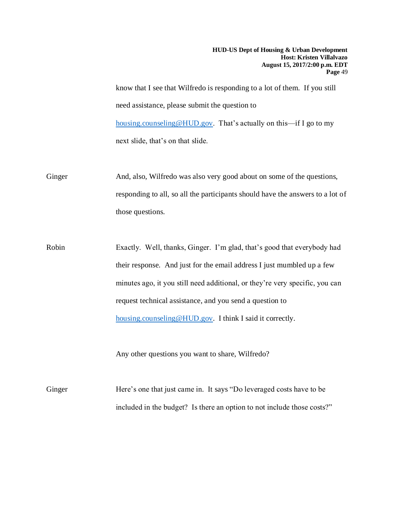**HUD-US Dept of Housing & Urban Development Host: Kristen Villalvazo August 15, 2017/2:00 p.m. EDT Page** 49

know that I see that Wilfredo is responding to a lot of them. If you still need assistance, please submit the question to [housing.counseling@HUD.gov.](mailto:housing.counseling@HUD.gov) That's actually on this—if I go to my next slide, that's on that slide.

Ginger And, also, Wilfredo was also very good about on some of the questions, responding to all, so all the participants should have the answers to a lot of those questions.

Robin Exactly. Well, thanks, Ginger. I'm glad, that's good that everybody had their response. And just for the email address I just mumbled up a few minutes ago, it you still need additional, or they're very specific, you can request technical assistance, and you send a question to [housing.counseling@HUD.gov.](mailto:housing.counseling@HUD.gov) I think I said it correctly.

Any other questions you want to share, Wilfredo?

Ginger Here's one that just came in. It says "Do leveraged costs have to be included in the budget? Is there an option to not include those costs?"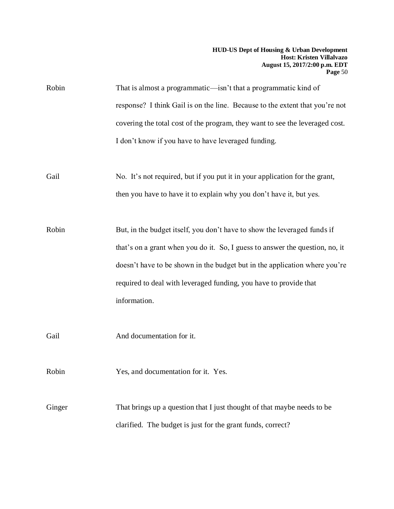| Robin  | That is almost a programmatic—isn't that a programmatic kind of              |
|--------|------------------------------------------------------------------------------|
|        | response? I think Gail is on the line. Because to the extent that you're not |
|        | covering the total cost of the program, they want to see the leveraged cost. |
|        | I don't know if you have to have leveraged funding.                          |
|        |                                                                              |
| Gail   | No. It's not required, but if you put it in your application for the grant,  |
|        | then you have to have it to explain why you don't have it, but yes.          |
|        |                                                                              |
| Robin  | But, in the budget itself, you don't have to show the leveraged funds if     |
|        | that's on a grant when you do it. So, I guess to answer the question, no, it |
|        | doesn't have to be shown in the budget but in the application where you're   |
|        | required to deal with leveraged funding, you have to provide that            |
|        | information.                                                                 |
|        |                                                                              |
| Gail   | And documentation for it.                                                    |
|        |                                                                              |
| Robin  | Yes, and documentation for it. Yes.                                          |
|        |                                                                              |
| Ginger | That brings up a question that I just thought of that maybe needs to be      |
|        | clarified. The budget is just for the grant funds, correct?                  |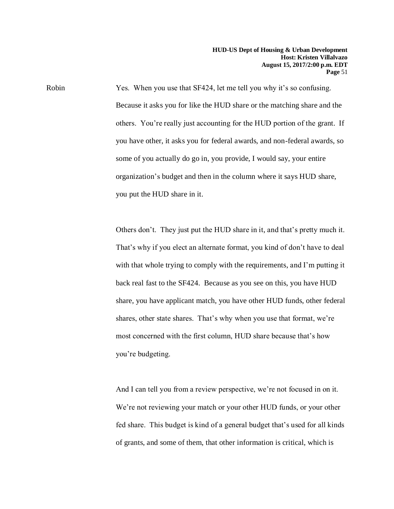Robin Yes. When you use that SF424, let me tell you why it's so confusing. Because it asks you for like the HUD share or the matching share and the others. You're really just accounting for the HUD portion of the grant. If you have other, it asks you for federal awards, and non-federal awards, so some of you actually do go in, you provide, I would say, your entire organization's budget and then in the column where it says HUD share, you put the HUD share in it.

> Others don't. They just put the HUD share in it, and that's pretty much it. That's why if you elect an alternate format, you kind of don't have to deal with that whole trying to comply with the requirements, and I'm putting it back real fast to the SF424. Because as you see on this, you have HUD share, you have applicant match, you have other HUD funds, other federal shares, other state shares. That's why when you use that format, we're most concerned with the first column, HUD share because that's how you're budgeting.

> And I can tell you from a review perspective, we're not focused in on it. We're not reviewing your match or your other HUD funds, or your other fed share. This budget is kind of a general budget that's used for all kinds of grants, and some of them, that other information is critical, which is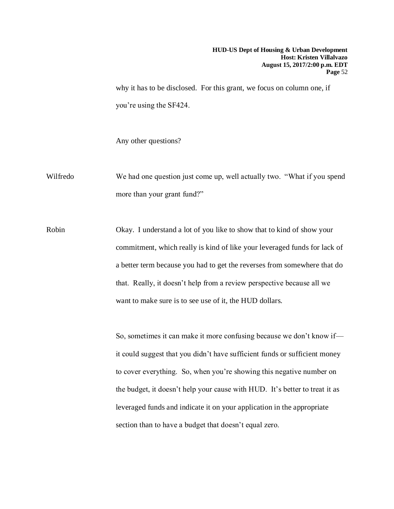why it has to be disclosed. For this grant, we focus on column one, if you're using the SF424.

Any other questions?

Wilfredo We had one question just come up, well actually two. "What if you spend more than your grant fund?"

Robin Okay. I understand a lot of you like to show that to kind of show your commitment, which really is kind of like your leveraged funds for lack of a better term because you had to get the reverses from somewhere that do that. Really, it doesn't help from a review perspective because all we want to make sure is to see use of it, the HUD dollars.

> So, sometimes it can make it more confusing because we don't know if it could suggest that you didn't have sufficient funds or sufficient money to cover everything. So, when you're showing this negative number on the budget, it doesn't help your cause with HUD. It's better to treat it as leveraged funds and indicate it on your application in the appropriate section than to have a budget that doesn't equal zero.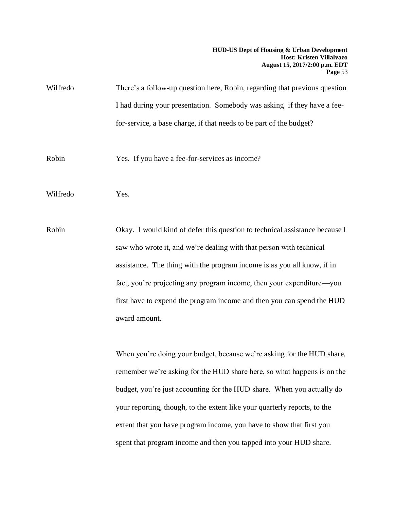**HUD-US Dept of Housing & Urban Development Host: Kristen Villalvazo August 15, 2017/2:00 p.m. EDT Page** 53

| Wilfredo | There's a follow-up question here, Robin, regarding that previous question |
|----------|----------------------------------------------------------------------------|
|          | I had during your presentation. Somebody was asking if they have a fee-    |
|          | for-service, a base charge, if that needs to be part of the budget?        |

Robin Yes. If you have a fee-for-services as income?

Wilfredo Yes.

Robin Okay. I would kind of defer this question to technical assistance because I saw who wrote it, and we're dealing with that person with technical assistance. The thing with the program income is as you all know, if in fact, you're projecting any program income, then your expenditure—you first have to expend the program income and then you can spend the HUD award amount.

> When you're doing your budget, because we're asking for the HUD share, remember we're asking for the HUD share here, so what happens is on the budget, you're just accounting for the HUD share. When you actually do your reporting, though, to the extent like your quarterly reports, to the extent that you have program income, you have to show that first you spent that program income and then you tapped into your HUD share.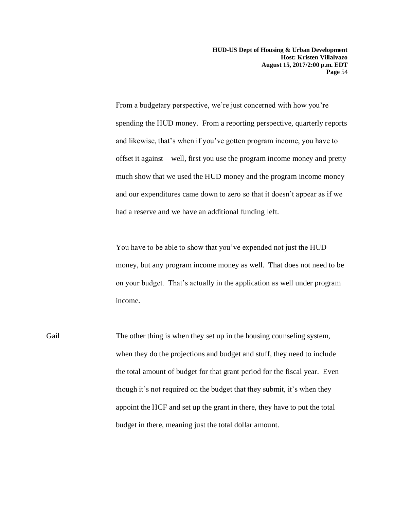**HUD-US Dept of Housing & Urban Development Host: Kristen Villalvazo August 15, 2017/2:00 p.m. EDT Page** 54

From a budgetary perspective, we're just concerned with how you're spending the HUD money. From a reporting perspective, quarterly reports and likewise, that's when if you've gotten program income, you have to offset it against—well, first you use the program income money and pretty much show that we used the HUD money and the program income money and our expenditures came down to zero so that it doesn't appear as if we had a reserve and we have an additional funding left.

You have to be able to show that you've expended not just the HUD money, but any program income money as well. That does not need to be on your budget. That's actually in the application as well under program income.

Gail The other thing is when they set up in the housing counseling system, when they do the projections and budget and stuff, they need to include the total amount of budget for that grant period for the fiscal year. Even though it's not required on the budget that they submit, it's when they appoint the HCF and set up the grant in there, they have to put the total budget in there, meaning just the total dollar amount.